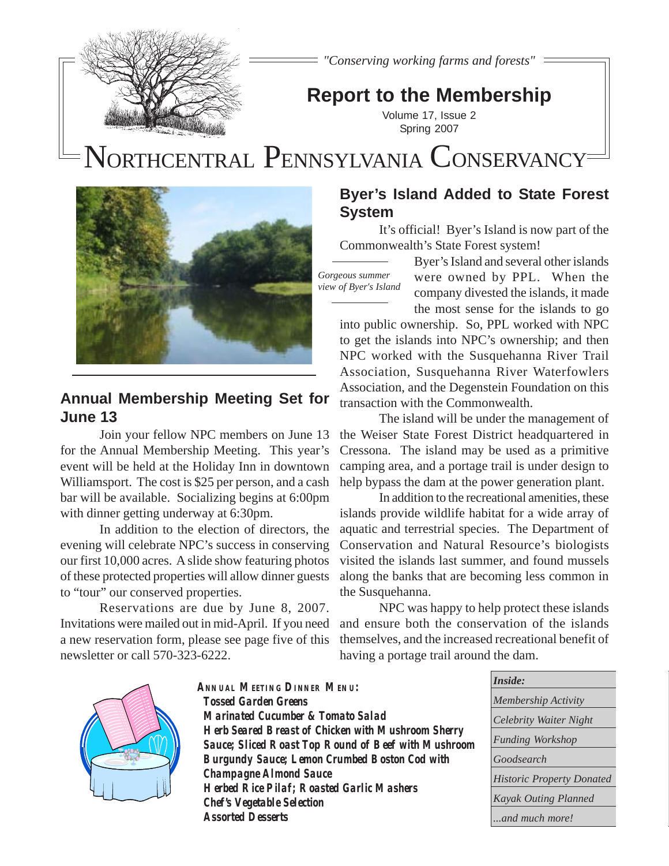

*"Conserving working farms and forests"*

## **Report to the Membership**

Volume 17, Issue 2 Spring 2007

# N**N**ORTHCENTRAL P **P**ENNSYLVANIA CONSERVANCY



## **Annual Membership Meeting Set for June 13**

Join your fellow NPC members on June 13 for the Annual Membership Meeting. This year's event will be held at the Holiday Inn in downtown Williamsport. The cost is \$25 per person, and a cash bar will be available. Socializing begins at 6:00pm with dinner getting underway at 6:30pm.

In addition to the election of directors, the evening will celebrate NPC's success in conserving our first 10,000 acres. A slide show featuring photos of these protected properties will allow dinner guests to "tour" our conserved properties.

Reservations are due by June 8, 2007. Invitations were mailed out in mid-April. If you need a new reservation form, please see page five of this newsletter or call 570-323-6222.

## **Byer's Island Added to State Forest System**

It's official! Byer's Island is now part of the Commonwealth's State Forest system!

*Gorgeous summer view of Byer's Island*

Byer's Island and several other islands were owned by PPL. When the company divested the islands, it made the most sense for the islands to go

into public ownership. So, PPL worked with NPC to get the islands into NPC's ownership; and then NPC worked with the Susquehanna River Trail Association, Susquehanna River Waterfowlers Association, and the Degenstein Foundation on this transaction with the Commonwealth.

The island will be under the management of the Weiser State Forest District headquartered in Cressona. The island may be used as a primitive camping area, and a portage trail is under design to help bypass the dam at the power generation plant.

In addition to the recreational amenities, these islands provide wildlife habitat for a wide array of aquatic and terrestrial species. The Department of Conservation and Natural Resource's biologists visited the islands last summer, and found mussels along the banks that are becoming less common in the Susquehanna.

NPC was happy to help protect these islands and ensure both the conservation of the islands themselves, and the increased recreational benefit of having a portage trail around the dam.



**ANNUAL MEETING DINNER MENU: Tossed Garden Greens Marinated Cucumber & Tomato Salad Herb Seared Breast of Chicken with Mushroom Sherry Sauce; Sliced Roast Top Round of Beef with Mushroom Burgundy Sauce; Lemon Crumbed Boston Cod with Champagne Almond Sauce Herbed Rice Pilaf; Roasted Garlic Mashers Chef's Vegetable Selection Assorted Desserts**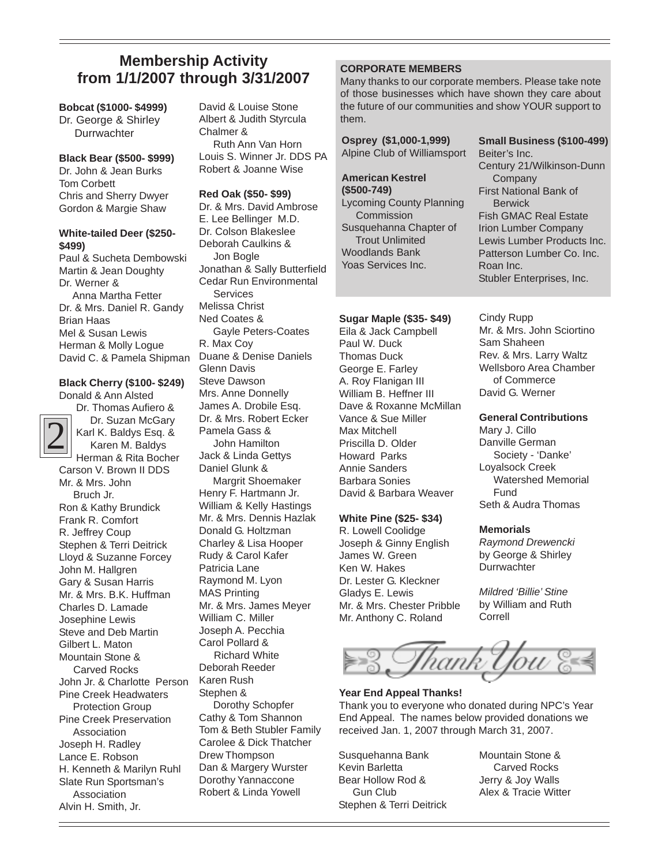## **Membership Activity from 1/1/2007 through 3/31/2007** Members Superiors

### **Bobcat (\$1000- \$4999)**

Dr. George & Shirley **Durrwachter** 

#### **Black Bear (\$500- \$999)**

Dr. John & Jean Burks Tom Corbett Chris and Sherry Dwyer Gordon & Margie Shaw

#### **White-tailed Deer (\$250- \$499)**

Paul & Sucheta Dembowski Martin & Jean Doughty Dr. Werner & Anna Martha Fetter Dr. & Mrs. Daniel R. Gandy Brian Haas Mel & Susan Lewis Herman & Molly Logue David C. & Pamela Shipman

### **Black Cherry (\$100- \$249)** Donald & Ann Alsted



Dr. Thomas Aufiero & Dr. Suzan McGary Karl K. Baldys Esq. & Karen M. Baldys Herman & Rita Bocher Carson V. Brown II DDS Mr. & Mrs. John Bruch Jr. Ron & Kathy Brundick Frank R. Comfort R. Jeffrey Coup Stephen & Terri Deitrick Lloyd & Suzanne Forcey John M. Hallgren Gary & Susan Harris Mr. & Mrs. B.K. Huffman Charles D. Lamade Josephine Lewis Steve and Deb Martin Gilbert L. Maton Mountain Stone & Carved Rocks John Jr. & Charlotte Person Pine Creek Headwaters Protection Group Pine Creek Preservation Association

Joseph H. Radley Lance E. Robson H. Kenneth & Marilyn Ruhl Slate Run Sportsman's **Association** Alvin H. Smith, Jr.

David & Louise Stone Albert & Judith Styrcula Chalmer & Ruth Ann Van Horn Louis S. Winner Jr. DDS PA Robert & Joanne Wise

### **Red Oak (\$50- \$99)**

Dr. & Mrs. David Ambrose E. Lee Bellinger M.D. Dr. Colson Blakeslee Deborah Caulkins & Jon Bogle Jonathan & Sally Butterfield Cedar Run Environmental Services Melissa Christ Ned Coates & Gayle Peters-Coates R. Max Coy Duane & Denise Daniels Glenn Davis Steve Dawson Mrs. Anne Donnelly James A. Drobile Esq. Dr. & Mrs. Robert Ecker Pamela Gass & John Hamilton Jack & Linda Gettys Daniel Glunk & Margrit Shoemaker Henry F. Hartmann Jr. William & Kelly Hastings Mr. & Mrs. Dennis Hazlak Donald G. Holtzman Charley & Lisa Hooper Rudy & Carol Kafer Patricia Lane Raymond M. Lyon MAS Printing Mr. & Mrs. James Meyer William C. Miller Joseph A. Pecchia Carol Pollard & Richard White Deborah Reeder Karen Rush Stephen & Dorothy Schopfer Cathy & Tom Shannon Tom & Beth Stubler Family Carolee & Dick Thatcher Drew Thompson Dan & Margery Wurster Dorothy Yannaccone

Robert & Linda Yowell

**Osprey (\$1)** 

Many thanks to our corporate members. Please take note of those businesses which have shown they care about the future of our communities and show YOUR support to them.

| Osprey (\$1,000-1,999)          | Small Business (\$100-499)    |
|---------------------------------|-------------------------------|
| Alpine Club of Williamsport     | Beiter's Inc.                 |
|                                 | Century 21/Wilkinson-Dunn     |
| <b>American Kestrel</b>         | Company                       |
| $($500-749)$                    | <b>First National Bank of</b> |
| <b>Lycoming County Planning</b> | <b>Berwick</b>                |
| Commission                      | <b>Fish GMAC Real Estate</b>  |
| Susquehanna Chapter of          | <b>Irion Lumber Company</b>   |
| <b>Trout Unlimited</b>          | Lewis Lumber Products Inc.    |
| Woodlands Bank                  | Patterson Lumber Co. Inc.     |
| Yoas Services Inc.              | Roan Inc.                     |
|                                 | Stubler Enterprises, Inc.     |
|                                 |                               |

### **Sugar Maple (\$35- \$49)**

Eila & Jack Campbell Paul W. Duck Thomas Duck George E. Farley A. Roy Flanigan III William B. Heffner III Dave & Roxanne McMillan Vance & Sue Miller Max Mitchell Priscilla D. Older Howard Parks Annie Sanders Barbara Sonies David & Barbara Weaver

### **White Pine (\$25- \$34)**

R. Lowell Coolidge Joseph & Ginny English James W. Green Ken W. Hakes Dr. Lester G. Kleckner Gladys E. Lewis Mr. & Mrs. Chester Pribble Mr. Anthony C. Roland

Cindy Rupp Mr. & Mrs. John Sciortino Sam Shaheen Rev. & Mrs. Larry Waltz Wellsboro Area Chamber of Commerce David G. Werner

### **General Contributions**

Mary J. Cillo Danville German Society - 'Danke' Loyalsock Creek Watershed Memorial Fund Seth & Audra Thomas

### **Memorials**

*Raymond Drewencki* by George & Shirley **Durrwachter** 

*Mildred 'Billie' Stine* by William and Ruth Correll



### **Year End Appeal Thanks!**

Thank you to everyone who donated during NPC's Year End Appeal. The names below provided donations we received Jan. 1, 2007 through March 31, 2007.

Susquehanna Bank Kevin Barletta Bear Hollow Rod & Gun Club Stephen & Terri Deitrick Mountain Stone & Carved Rocks Jerry & Joy Walls Alex & Tracie Witter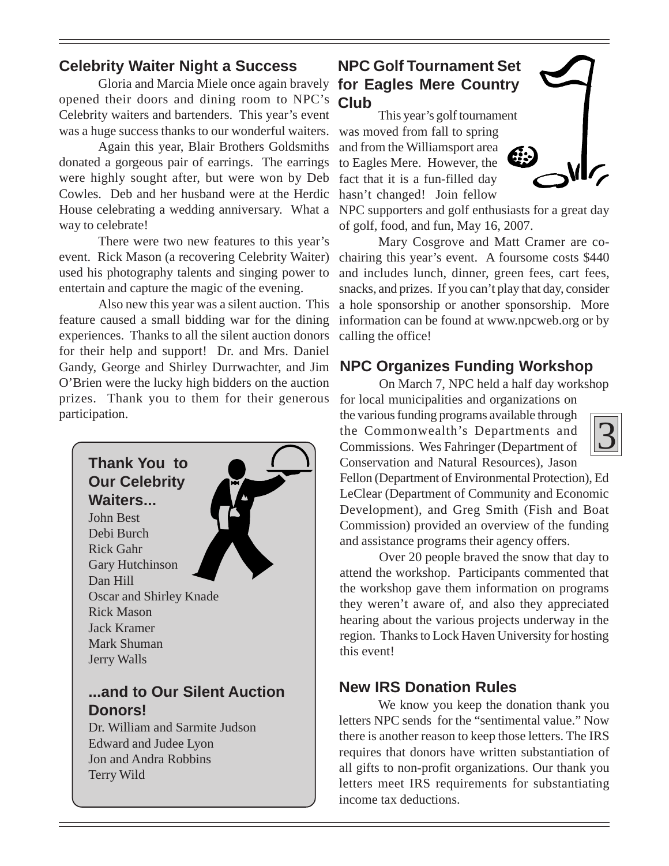## **Celebrity Waiter Night a Success**

Gloria and Marcia Miele once again bravely **for Eagles Mere Country** opened their doors and dining room to NPC's Celebrity waiters and bartenders. This year's event was a huge success thanks to our wonderful waiters.

Again this year, Blair Brothers Goldsmiths donated a gorgeous pair of earrings. The earrings were highly sought after, but were won by Deb Cowles. Deb and her husband were at the Herdic hasn't changed! Join fellow House celebrating a wedding anniversary. What a way to celebrate!

There were two new features to this year's event. Rick Mason (a recovering Celebrity Waiter) used his photography talents and singing power to entertain and capture the magic of the evening.

Also new this year was a silent auction. This feature caused a small bidding war for the dining experiences. Thanks to all the silent auction donors for their help and support! Dr. and Mrs. Daniel Gandy, George and Shirley Durrwachter, and Jim O'Brien were the lucky high bidders on the auction prizes. Thank you to them for their generous participation.



## **NPC Golf Tournament Set Club**

This year's golf tournament was moved from fall to spring and from the Williamsport area to Eagles Mere. However, the fact that it is a fun-filled day



NPC supporters and golf enthusiasts for a great day of golf, food, and fun, May 16, 2007.

Mary Cosgrove and Matt Cramer are cochairing this year's event. A foursome costs \$440 and includes lunch, dinner, green fees, cart fees, snacks, and prizes. If you can't play that day, consider a hole sponsorship or another sponsorship. More information can be found at www.npcweb.org or by calling the office!

## **NPC Organizes Funding Workshop**

On March 7, NPC held a half day workshop for local municipalities and organizations on the various funding programs available through the Commonwealth's Departments and Commissions. Wes Fahringer (Department of Conservation and Natural Resources), Jason



Fellon (Department of Environmental Protection), Ed LeClear (Department of Community and Economic Development), and Greg Smith (Fish and Boat Commission) provided an overview of the funding and assistance programs their agency offers.

Over 20 people braved the snow that day to attend the workshop. Participants commented that the workshop gave them information on programs they weren't aware of, and also they appreciated hearing about the various projects underway in the region. Thanks to Lock Haven University for hosting this event!

## **New IRS Donation Rules**

We know you keep the donation thank you letters NPC sends for the "sentimental value." Now there is another reason to keep those letters. The IRS requires that donors have written substantiation of all gifts to non-profit organizations. Our thank you letters meet IRS requirements for substantiating income tax deductions.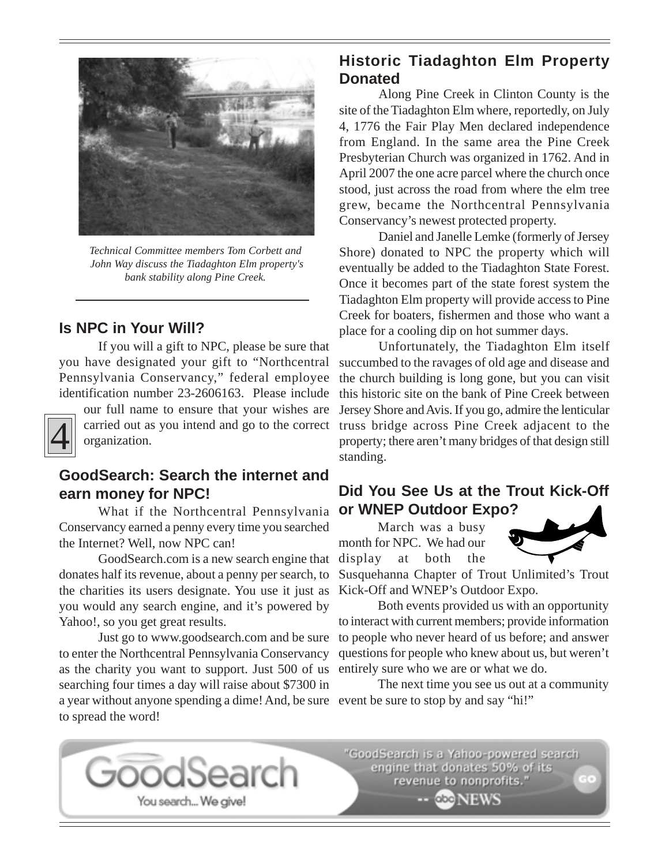

*Technical Committee members Tom Corbett and John Way discuss the Tiadaghton Elm property's bank stability along Pine Creek.*

### **Is NPC in Your Will?**

If you will a gift to NPC, please be sure that you have designated your gift to "Northcentral Pennsylvania Conservancy," federal employee identification number 23-2606163. Please include



our full name to ensure that your wishes are carried out as you intend and go to the correct organization.

## **GoodSearch: Search the internet and earn money for NPC!**

What if the Northcentral Pennsylvania Conservancy earned a penny every time you searched the Internet? Well, now NPC can!

GoodSearch.com is a new search engine that donates half its revenue, about a penny per search, to the charities its users designate. You use it just as you would any search engine, and it's powered by Yahoo!, so you get great results.

a year without anyone spending a dime! And, be sure event be sure to stop by and say "hi!" Just go to www.goodsearch.com and be sure to enter the Northcentral Pennsylvania Conservancy as the charity you want to support. Just 500 of us searching four times a day will raise about \$7300 in to spread the word!

You search... We give!

odSearch

## **Historic Tiadaghton Elm Property Donated**

Along Pine Creek in Clinton County is the site of the Tiadaghton Elm where, reportedly, on July 4, 1776 the Fair Play Men declared independence from England. In the same area the Pine Creek Presbyterian Church was organized in 1762. And in April 2007 the one acre parcel where the church once stood, just across the road from where the elm tree grew, became the Northcentral Pennsylvania Conservancy's newest protected property.

Daniel and Janelle Lemke (formerly of Jersey Shore) donated to NPC the property which will eventually be added to the Tiadaghton State Forest. Once it becomes part of the state forest system the Tiadaghton Elm property will provide access to Pine Creek for boaters, fishermen and those who want a place for a cooling dip on hot summer days.

Unfortunately, the Tiadaghton Elm itself succumbed to the ravages of old age and disease and the church building is long gone, but you can visit this historic site on the bank of Pine Creek between Jersey Shore and Avis. If you go, admire the lenticular truss bridge across Pine Creek adjacent to the property; there aren't many bridges of that design still standing.

## **Did You See Us at the Trout Kick-Off or WNEP Outdoor Expo?**

March was a busy month for NPC. We had our display at both the



Susquehanna Chapter of Trout Unlimited's Trout Kick-Off and WNEP's Outdoor Expo.

Both events provided us with an opportunity to interact with current members; provide information to people who never heard of us before; and answer questions for people who knew about us, but weren't entirely sure who we are or what we do.

The next time you see us out at a community

"GoodSearch is a Yahoo-powered search engine that donates 50% of its revenue to nonprofits.'

-- GEONEWS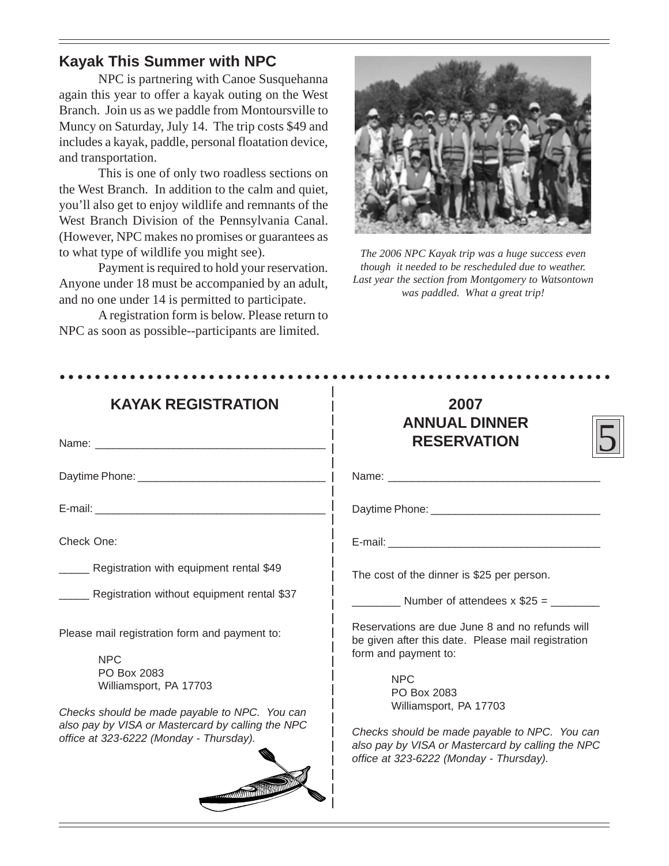## **Kayak This Summer with NPC**

NPC is partnering with Canoe Susquehanna again this year to offer a kayak outing on the West Branch. Join us as we paddle from Montoursville to Muncy on Saturday, July 14. The trip costs \$49 and includes a kayak, paddle, personal floatation device, and transportation.

This is one of only two roadless sections on the West Branch. In addition to the calm and quiet, you'll also get to enjoy wildlife and remnants of the West Branch Division of the Pennsylvania Canal. (However, NPC makes no promises or guarantees as to what type of wildlife you might see).

Payment is required to hold your reservation. Anyone under 18 must be accompanied by an adult, and no one under 14 is permitted to participate.

A registration form is below. Please return to NPC as soon as possible--participants are limited.



*The 2006 NPC Kayak trip was a huge success even though it needed to be rescheduled due to weather. Last year the section from Montgomery to Watsontown was paddled. What a great trip!*

| <b>KAYAK REGISTRATION</b>                                                                                                                                                                                  | 2007<br><b>ANNUAL DINNER</b>                                                                                                                                                         |  |
|------------------------------------------------------------------------------------------------------------------------------------------------------------------------------------------------------------|--------------------------------------------------------------------------------------------------------------------------------------------------------------------------------------|--|
|                                                                                                                                                                                                            | <b>RESERVATION</b>                                                                                                                                                                   |  |
|                                                                                                                                                                                                            |                                                                                                                                                                                      |  |
|                                                                                                                                                                                                            |                                                                                                                                                                                      |  |
| Check One:                                                                                                                                                                                                 |                                                                                                                                                                                      |  |
| __ Registration with equipment rental \$49                                                                                                                                                                 | The cost of the dinner is \$25 per person.                                                                                                                                           |  |
| ___ Registration without equipment rental \$37                                                                                                                                                             | $\frac{1}{2}$ Number of attendees x \$25 = $\frac{1}{2}$                                                                                                                             |  |
| Please mail registration form and payment to:<br><b>NPC</b><br>PO Box 2083<br>Williamsport, PA 17703<br>Checks should be made payable to NPC. You can<br>also pay by VISA or Mastercard by calling the NPC | Reservations are due June 8 and no refunds will<br>be given after this date. Please mail registration<br>form and payment to:<br><b>NPC</b><br>PO Box 2083<br>Williamsport, PA 17703 |  |
| office at 323-6222 (Monday - Thursday).<br><b>COMMUNISTRATION</b>                                                                                                                                          | Checks should be made payable to NPC. You can<br>also pay by VISA or Mastercard by calling the NPC<br>office at 323-6222 (Monday - Thursday).                                        |  |